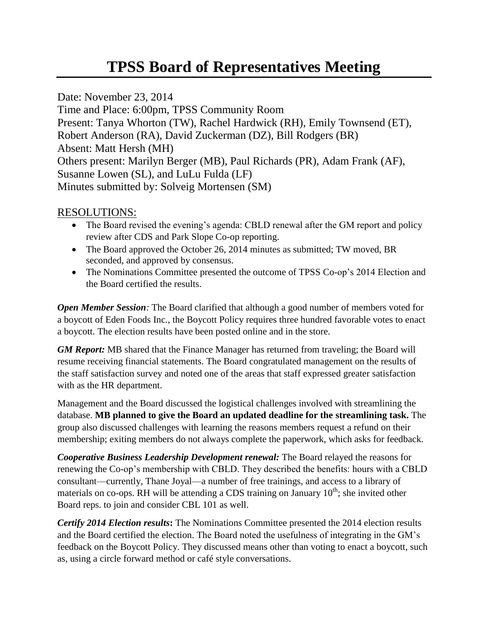# **TPSS Board of Representatives Meeting**

Date: November 23, 2014 Time and Place: 6:00pm, TPSS Community Room Present: Tanya Whorton (TW), Rachel Hardwick (RH), Emily Townsend (ET), Robert Anderson (RA), David Zuckerman (DZ), Bill Rodgers (BR) Absent: Matt Hersh (MH) Others present: Marilyn Berger (MB), Paul Richards (PR), Adam Frank (AF), Susanne Lowen (SL), and LuLu Fulda (LF) Minutes submitted by: Solveig Mortensen (SM)

## RESOLUTIONS:

- The Board revised the evening's agenda: CBLD renewal after the GM report and policy review after CDS and Park Slope Co-op reporting.
- The Board approved the October 26, 2014 minutes as submitted; TW moved, BR seconded, and approved by consensus.
- The Nominations Committee presented the outcome of TPSS Co-op's 2014 Election and the Board certified the results.

*Open Member Session:* The Board clarified that although a good number of members voted for a boycott of Eden Foods Inc., the Boycott Policy requires three hundred favorable votes to enact a boycott. The election results have been posted online and in the store.

*GM Report:* MB shared that the Finance Manager has returned from traveling; the Board will resume receiving financial statements. The Board congratulated management on the results of the staff satisfaction survey and noted one of the areas that staff expressed greater satisfaction with as the HR department.

Management and the Board discussed the logistical challenges involved with streamlining the database. **MB planned to give the Board an updated deadline for the streamlining task.** The group also discussed challenges with learning the reasons members request a refund on their membership; exiting members do not always complete the paperwork, which asks for feedback.

*Cooperative Business Leadership Development renewal:* The Board relayed the reasons for renewing the Co-op's membership with CBLD. They described the benefits: hours with a CBLD consultant—currently, Thane Joyal—a number of free trainings, and access to a library of materials on co-ops. RH will be attending a CDS training on January  $10^{th}$ ; she invited other Board reps. to join and consider CBL 101 as well.

*Certify 2014 Election results***:** The Nominations Committee presented the 2014 election results and the Board certified the election. The Board noted the usefulness of integrating in the GM's feedback on the Boycott Policy. They discussed means other than voting to enact a boycott, such as, using a circle forward method or café style conversations.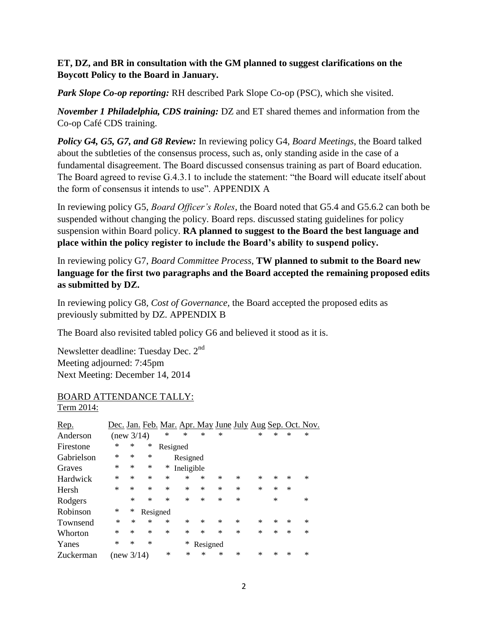### **ET, DZ, and BR in consultation with the GM planned to suggest clarifications on the Boycott Policy to the Board in January.**

*Park Slope Co-op reporting:* RH described Park Slope Co-op (PSC), which she visited.

*November 1 Philadelphia, CDS training:* DZ and ET shared themes and information from the Co-op Café CDS training.

*Policy G4, G5, G7, and G8 Review:* In reviewing policy G4, *Board Meetings*, the Board talked about the subtleties of the consensus process, such as, only standing aside in the case of a fundamental disagreement. The Board discussed consensus training as part of Board education. The Board agreed to revise G.4.3.1 to include the statement: "the Board will educate itself about the form of consensus it intends to use". APPENDIX A

In reviewing policy G5, *Board Officer's Roles*, the Board noted that G5.4 and G5.6.2 can both be suspended without changing the policy. Board reps. discussed stating guidelines for policy suspension within Board policy. **RA planned to suggest to the Board the best language and place within the policy register to include the Board's ability to suspend policy.**

In reviewing policy G7, *Board Committee Process*, **TW planned to submit to the Board new language for the first two paragraphs and the Board accepted the remaining proposed edits as submitted by DZ.** 

In reviewing policy G8, *Cost of Governance,* the Board accepted the proposed edits as previously submitted by DZ. APPENDIX B

The Board also revisited tabled policy G6 and believed it stood as it is.

Newsletter deadline: Tuesday Dec. 2nd Meeting adjourned: 7:45pm Next Meeting: December 14, 2014

#### BOARD ATTENDANCE TALLY: Term 2014:

| Rep.       | Dec. Jan. Feb. Mar. Apr. May June July Aug Sep. Oct. Nov. |        |          |          |            |          |        |   |        |        |        |        |
|------------|-----------------------------------------------------------|--------|----------|----------|------------|----------|--------|---|--------|--------|--------|--------|
| Anderson   | (new 3/14)                                                |        |          | ∗        | $\ast$     | ∗        | ∗      |   | ∗      | ∗      | ∗      | ∗      |
| Firestone  | ∗                                                         | ∗      | ∗        | Resigned |            |          |        |   |        |        |        |        |
| Gabrielson | ∗                                                         | ∗      | $\ast$   |          | Resigned   |          |        |   |        |        |        |        |
| Graves     | ∗                                                         | $\ast$ | ∗        | ∗        | Ineligible |          |        |   |        |        |        |        |
| Hardwick   | $\ast$                                                    | ∗      | $\ast$   | ∗        | ∗          | *        | $\ast$ | * | *      | ∗      | $\ast$ | $\ast$ |
| Hersh      | $\ast$                                                    | $\ast$ | $\ast$   | ∗        | ∗          | *        | $\ast$ | * | $\ast$ | ∗      | $\ast$ |        |
| Rodgers    |                                                           | $\ast$ | $\ast$   | ∗        | ж          | *        | $\ast$ | * |        | $\ast$ |        | $\ast$ |
| Robinson   | ∗                                                         | ∗      | Resigned |          |            |          |        |   |        |        |        |        |
| Townsend   | ∗                                                         | $\ast$ | $\ast$   | ∗        | ∗          | *        | $\ast$ | * | *      | ∗      | $\ast$ | ∗      |
| Whorton    | ∗                                                         | ∗      | $\ast$   | ∗        | ∗          | *        | $\ast$ | * | $\ast$ | $\ast$ | $\ast$ | $\ast$ |
| Yanes      | *                                                         | ∗      | ∗        |          | ∗          | Resigned |        |   |        |        |        |        |
| Zuckerman  | (new $3/14$ )                                             |        |          | *        | ∗          | $\ast$   | ∗      | * | *      | ∗      | ∗      | *      |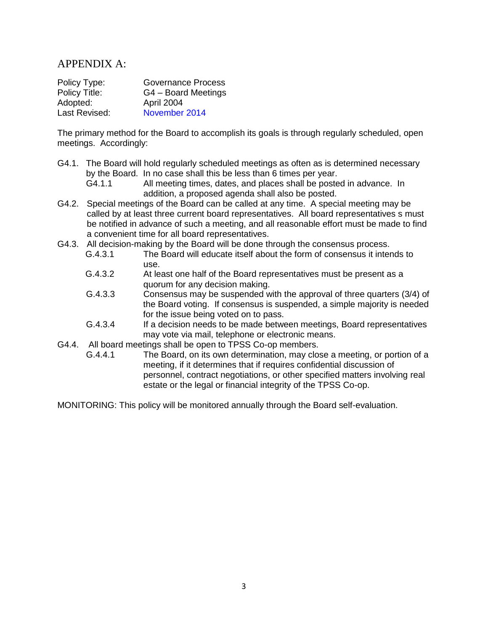## APPENDIX A:

| Policy Type:  | Governance Process  |
|---------------|---------------------|
| Policy Title: | G4 - Board Meetings |
| Adopted:      | April 2004          |
| Last Revised: | November 2014       |

The primary method for the Board to accomplish its goals is through regularly scheduled, open meetings. Accordingly:

- G4.1. The Board will hold regularly scheduled meetings as often as is determined necessary by the Board. In no case shall this be less than 6 times per year.
	- G4.1.1 All meeting times, dates, and places shall be posted in advance. In addition, a proposed agenda shall also be posted.
- G4.2. Special meetings of the Board can be called at any time. A special meeting may be called by at least three current board representatives. All board representatives s must be notified in advance of such a meeting, and all reasonable effort must be made to find a convenient time for all board representatives.
- G4.3. All decision-making by the Board will be done through the consensus process.
	- G.4.3.1 The Board will educate itself about the form of consensus it intends to use.
	- G.4.3.2 At least one half of the Board representatives must be present as a quorum for any decision making.
	- G.4.3.3 Consensus may be suspended with the approval of three quarters (3/4) of the Board voting. If consensus is suspended, a simple majority is needed for the issue being voted on to pass.
	- G.4.3.4 If a decision needs to be made between meetings, Board representatives may vote via mail, telephone or electronic means.
- G4.4. All board meetings shall be open to TPSS Co-op members.
	- G.4.4.1 The Board, on its own determination, may close a meeting, or portion of a meeting, if it determines that if requires confidential discussion of personnel, contract negotiations, or other specified matters involving real estate or the legal or financial integrity of the TPSS Co-op.

MONITORING: This policy will be monitored annually through the Board self-evaluation.